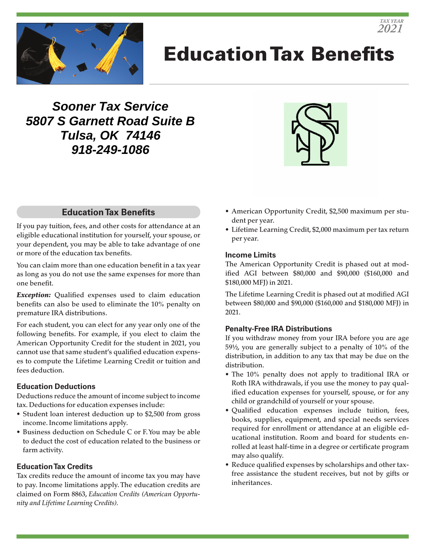

# Education Tax Benefits

**Sooner Tax Service 5807 S Garnett Road Suite B Tulsa, OK 74146 918-249-1086**



## **Education Tax Benefits**

If you pay tuition, fees, and other costs for attendance at an eligible educational institution for yourself, your spouse, or your dependent, you may be able to take advantage of one or more of the education tax benefits.

You can claim more than one education benefit in a tax year as long as you do not use the same expenses for more than one benefit.

*Exception:* Qualified expenses used to claim education benefits can also be used to eliminate the 10% penalty on premature IRA distributions.

For each student, you can elect for any year only one of the following benefits. For example, if you elect to claim the American Opportunity Credit for the student in 2021, you cannot use that same student's qualified education expenses to compute the Lifetime Learning Credit or tuition and fees deduction.

#### **Education Deductions**

Deductions reduce the amount of income subject to income tax. Deductions for education expenses include:

- Student loan interest deduction up to \$2,500 from gross income. Income limitations apply.
- Business deduction on Schedule C or F. You may be able to deduct the cost of education related to the business or farm activity.

#### **Education Tax Credits**

Tax credits reduce the amount of income tax you may have to pay. Income limitations apply. The education credits are claimed on Form 8863, *Education Credits (American Opportunity and Lifetime Learning Credits).*

- American Opportunity Credit, \$2,500 maximum per student per year.
- Lifetime Learning Credit, \$2,000 maximum per tax return per year.

#### **Income Limits**

The American Opportunity Credit is phased out at modified AGI between \$80,000 and \$90,000 (\$160,000 and \$180,000 MFJ) in 2021.

The Lifetime Learning Credit is phased out at modified AGI between \$80,000 and \$90,000 (\$160,000 and \$180,000 MFJ) in 2021.

#### **Penalty-Free IRA Distributions**

If you withdraw money from your IRA before you are age 59½, you are generally subject to a penalty of 10% of the distribution, in addition to any tax that may be due on the distribution.

- The 10% penalty does not apply to traditional IRA or Roth IRA withdrawals, if you use the money to pay qualified education expenses for yourself, spouse, or for any child or grandchild of yourself or your spouse.
- Qualified education expenses include tuition, fees, books, supplies, equipment, and special needs services required for enrollment or attendance at an eligible educational institution. Room and board for students enrolled at least half-time in a degree or certificate program may also qualify.
- Reduce qualified expenses by scholarships and other taxfree assistance the student receives, but not by gifts or inheritances.